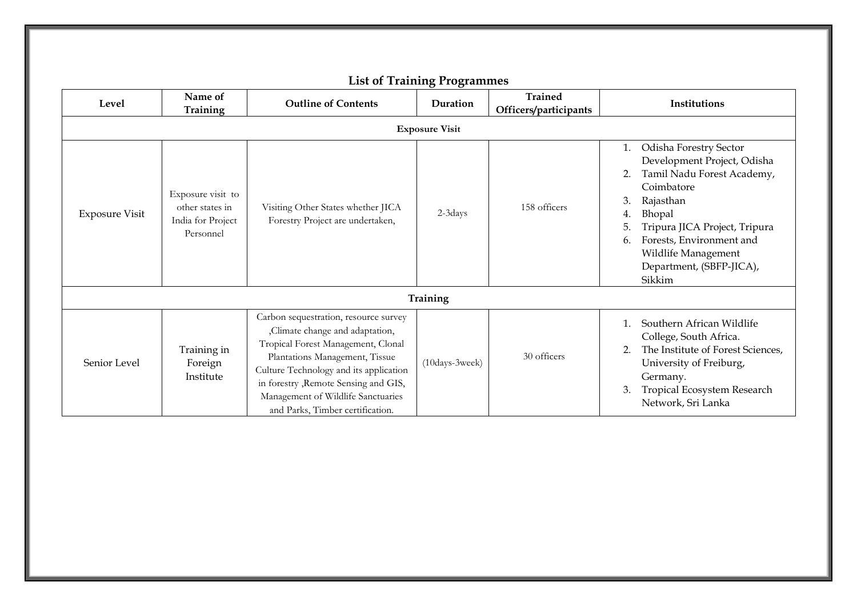|                       |                                                                        |                                                                                                                                                                                                                                                                                                               | ັ<br>ັ         | <b>Trained</b>        |                                                                                                                                                                                                                                                                                        |  |  |  |
|-----------------------|------------------------------------------------------------------------|---------------------------------------------------------------------------------------------------------------------------------------------------------------------------------------------------------------------------------------------------------------------------------------------------------------|----------------|-----------------------|----------------------------------------------------------------------------------------------------------------------------------------------------------------------------------------------------------------------------------------------------------------------------------------|--|--|--|
| Level                 | Name of<br>Training                                                    | <b>Outline of Contents</b>                                                                                                                                                                                                                                                                                    | Duration       | Officers/participants | Institutions                                                                                                                                                                                                                                                                           |  |  |  |
| <b>Exposure Visit</b> |                                                                        |                                                                                                                                                                                                                                                                                                               |                |                       |                                                                                                                                                                                                                                                                                        |  |  |  |
| <b>Exposure Visit</b> | Exposure visit to<br>other states in<br>India for Project<br>Personnel | Visiting Other States whether JICA<br>Forestry Project are undertaken,                                                                                                                                                                                                                                        | 2-3days        | 158 officers          | Odisha Forestry Sector<br>1.<br>Development Project, Odisha<br>Tamil Nadu Forest Academy,<br>2.<br>Coimbatore<br>Rajasthan<br>3.<br>Bhopal<br>4.<br>Tripura JICA Project, Tripura<br>5.<br>Forests, Environment and<br>6.<br>Wildlife Management<br>Department, (SBFP-JICA),<br>Sikkim |  |  |  |
| Training              |                                                                        |                                                                                                                                                                                                                                                                                                               |                |                       |                                                                                                                                                                                                                                                                                        |  |  |  |
| Senior Level          | Training in<br>Foreign<br>Institute                                    | Carbon sequestration, resource survey<br>,Climate change and adaptation,<br>Tropical Forest Management, Clonal<br>Plantations Management, Tissue<br>Culture Technology and its application<br>in forestry , Remote Sensing and GIS,<br>Management of Wildlife Sanctuaries<br>and Parks, Timber certification. | (10days-3week) | 30 officers           | Southern African Wildlife<br>College, South Africa.<br>The Institute of Forest Sciences,<br>2.<br>University of Freiburg,<br>Germany.<br>Tropical Ecosystem Research<br>3.<br>Network, Sri Lanka                                                                                       |  |  |  |

## **List of Training Programmes**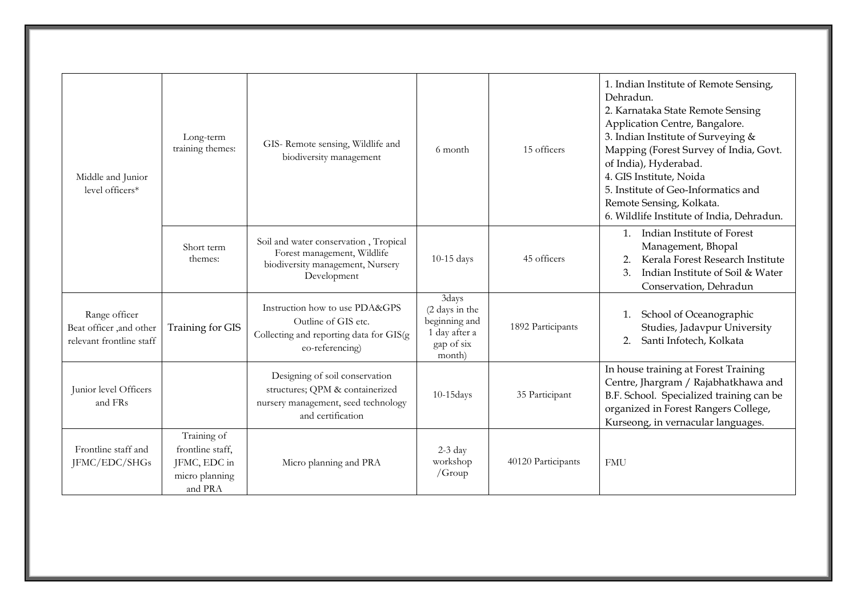| Middle and Junior<br>level officers*                                 | Long-term<br>training themes:                                                | GIS- Remote sensing, Wildlife and<br>biodiversity management                                                                  | 6 month                                                                           | 15 officers        | 1. Indian Institute of Remote Sensing,<br>Dehradun.<br>2. Karnataka State Remote Sensing<br>Application Centre, Bangalore.<br>3. Indian Institute of Surveying &<br>Mapping (Forest Survey of India, Govt.<br>of India), Hyderabad.<br>4. GIS Institute, Noida<br>5. Institute of Geo-Informatics and<br>Remote Sensing, Kolkata.<br>6. Wildlife Institute of India, Dehradun. |
|----------------------------------------------------------------------|------------------------------------------------------------------------------|-------------------------------------------------------------------------------------------------------------------------------|-----------------------------------------------------------------------------------|--------------------|--------------------------------------------------------------------------------------------------------------------------------------------------------------------------------------------------------------------------------------------------------------------------------------------------------------------------------------------------------------------------------|
|                                                                      | Short term<br>themes:                                                        | Soil and water conservation, Tropical<br>Forest management, Wildlife<br>biodiversity management, Nursery<br>Development       | 10-15 days                                                                        | 45 officers        | Indian Institute of Forest<br>$\mathbf{1}$ .<br>Management, Bhopal<br>Kerala Forest Research Institute<br>2.<br>Indian Institute of Soil & Water<br>3.<br>Conservation, Dehradun                                                                                                                                                                                               |
| Range officer<br>Beat officer ,and other<br>relevant frontline staff | Training for GIS                                                             | Instruction how to use PDA&GPS<br>Outline of GIS etc.<br>Collecting and reporting data for GIS(g)<br>eo-referencing)          | 3days<br>(2 days in the<br>beginning and<br>1 day after a<br>gap of six<br>month) | 1892 Participants  | School of Oceanographic<br>1.<br>Studies, Jadavpur University<br>Santi Infotech, Kolkata<br>2.                                                                                                                                                                                                                                                                                 |
| Junior level Officers<br>and FRs                                     |                                                                              | Designing of soil conservation<br>structures; QPM & containerized<br>nursery management, seed technology<br>and certification | 10-15days                                                                         | 35 Participant     | In house training at Forest Training<br>Centre, Jhargram / Rajabhatkhawa and<br>B.F. School. Specialized training can be<br>organized in Forest Rangers College,<br>Kurseong, in vernacular languages.                                                                                                                                                                         |
| Frontline staff and<br>JFMC/EDC/SHGs                                 | Training of<br>frontline staff,<br>JFMC, EDC in<br>micro planning<br>and PRA | Micro planning and PRA                                                                                                        | $2-3 \text{ day}$<br>workshop<br>$/$ Group                                        | 40120 Participants | <b>FMU</b>                                                                                                                                                                                                                                                                                                                                                                     |